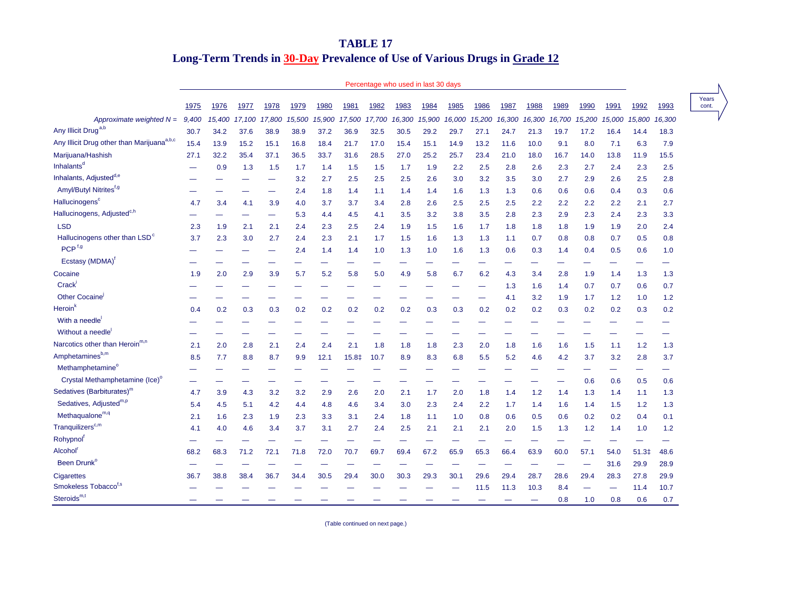## **TABLE 17 Long-Term Trends in 30-Day Prevalence of Use of Various Drugs in Grade 12**

## Percentage who used in last 30 days

Years

|                                                        | 1975  | 1976   | 1977   | 1978   | 1979   | 1980   | 1981   | 1982   | 1983   | 1984   | 1985   | 1986   | 1987   | 1988   | 1989   | 1990   | 1991   | 1992              | 1993   | Year<br>cont |
|--------------------------------------------------------|-------|--------|--------|--------|--------|--------|--------|--------|--------|--------|--------|--------|--------|--------|--------|--------|--------|-------------------|--------|--------------|
| Approximate weighted $N =$                             | 9,400 | 15,400 | 17.100 | 17.800 | 15,500 | 15,900 | 17.500 | 17,700 | 16,300 | 15,900 | 16,000 | 15,200 | 16,300 | 16,300 | 16,700 | 15,200 | 15,000 | 15,800            | 16,300 |              |
| Any Illicit Drug <sup>a,b</sup>                        | 30.7  | 34.2   | 37.6   | 38.9   | 38.9   | 37.2   | 36.9   | 32.5   | 30.5   | 29.2   | 29.7   | 27.1   | 24.7   | 21.3   | 19.7   | 17.2   | 16.4   | 14.4              | 18.3   |              |
| Any Illicit Drug other than Marijuana <sup>a,b,c</sup> | 15.4  | 13.9   | 15.2   | 15.1   | 16.8   | 18.4   | 21.7   | 17.0   | 15.4   | 15.1   | 14.9   | 13.2   | 11.6   | 10.0   | 9.1    | 8.0    | 7.1    | 6.3               | 7.9    |              |
| Marijuana/Hashish                                      | 27.1  | 32.2   | 35.4   | 37.1   | 36.5   | 33.7   | 31.6   | 28.5   | 27.0   | 25.2   | 25.7   | 23.4   | 21.0   | 18.0   | 16.7   | 14.0   | 13.8   | 11.9              | 15.5   |              |
| Inhalants <sup>d</sup>                                 |       | 0.9    | 1.3    | 1.5    | 1.7    | 1.4    | 1.5    | 1.5    | 1.7    | 1.9    | 2.2    | 2.5    | 2.8    | 2.6    | 2.3    | 2.7    | 2.4    | 2.3               | 2.5    |              |
| Inhalants, Adjusted <sup>d,e</sup>                     |       |        |        |        | 3.2    | 2.7    | 2.5    | 2.5    | 2.5    | 2.6    | 3.0    | 3.2    | 3.5    | 3.0    | 2.7    | 2.9    | 2.6    | 2.5               | 2.8    |              |
| Amyl/Butyl Nitrites <sup>f,g</sup>                     |       |        |        |        | 2.4    | 1.8    | 1.4    | 1.1    | 1.4    | 1.4    | 1.6    | 1.3    | 1.3    | 0.6    | 0.6    | 0.6    | 0.4    | 0.3               | 0.6    |              |
| Hallucinogens <sup>c</sup>                             | 4.7   | 3.4    | 4.1    | 3.9    | 4.0    | 3.7    | 3.7    | 3.4    | 2.8    | 2.6    | 2.5    | 2.5    | 2.5    | 2.2    | 2.2    | 2.2    | 2.2    | 2.1               | 2.7    |              |
| Hallucinogens, Adjusted <sup>c,h</sup>                 |       |        |        |        | 5.3    | 4.4    | 4.5    | 4.1    | 3.5    | 3.2    | 3.8    | 3.5    | 2.8    | 2.3    | 2.9    | 2.3    | 2.4    | 2.3               | 3.3    |              |
| <b>LSD</b>                                             | 2.3   | 1.9    | 2.1    | 2.1    | 2.4    | 2.3    | 2.5    | 2.4    | 1.9    | 1.5    | 1.6    | 1.7    | 1.8    | 1.8    | 1.8    | 1.9    | 1.9    | 2.0               | 2.4    |              |
| Hallucinogens other than LSD <sup>c</sup>              | 3.7   | 2.3    | 3.0    | 2.7    | 2.4    | 2.3    | 2.1    | 1.7    | 1.5    | 1.6    | 1.3    | 1.3    | 1.1    | 0.7    | 0.8    | 0.8    | 0.7    | 0.5               | 0.8    |              |
| PCP <sup>f,g</sup>                                     |       |        |        |        | 2.4    | 1.4    | 1.4    | 1.0    | 1.3    | 1.0    | 1.6    | 1.3    | 0.6    | 0.3    | 1.4    | 0.4    | 0.5    | 0.6               | 1.0    |              |
| Ecstasy (MDMA) <sup>1</sup>                            |       |        |        |        |        |        |        |        |        |        |        |        |        |        |        |        |        |                   |        |              |
| Cocaine                                                | 1.9   | 2.0    | 2.9    | 3.9    | 5.7    | 5.2    | 5.8    | 5.0    | 4.9    | 5.8    | 6.7    | 6.2    | 4.3    | 3.4    | 2.8    | 1.9    | 1.4    | 1.3               | 1.3    |              |
| Crack'                                                 |       |        |        |        |        |        |        |        |        |        |        |        | 1.3    | 1.6    | 1.4    | 0.7    | 0.7    | 0.6               | 0.7    |              |
| Other Cocaine                                          |       |        |        |        |        |        |        |        |        |        |        |        | 4.1    | 3.2    | 1.9    | 1.7    | 1.2    | 1.0               | 1.2    |              |
| Heroin'                                                | 0.4   | 0.2    | 0.3    | 0.3    | 0.2    | 0.2    | 0.2    | 0.2    | 0.2    | 0.3    | 0.3    | 0.2    | 0.2    | 0.2    | 0.3    | 0.2    | 0.2    | 0.3               | 0.2    |              |
| With a needle                                          |       |        |        |        |        |        |        |        |        |        |        |        |        |        |        |        |        |                   |        |              |
| Without a needle                                       |       |        |        |        |        |        |        |        |        |        |        |        |        |        |        |        |        |                   |        |              |
| Narcotics other than Heroin <sup>m,n</sup>             | 2.1   | 2.0    | 2.8    | 2.1    | 2.4    | 2.4    | 2.1    | 1.8    | 1.8    | 1.8    | 2.3    | 2.0    | 1.8    | 1.6    | 1.6    | 1.5    | 1.1    | 1.2               | 1.3    |              |
| Amphetaminesb,m                                        | 8.5   | 7.7    | 8.8    | 8.7    | 9.9    | 12.1   | 15.8‡  | 10.7   | 8.9    | 8.3    | 6.8    | 5.5    | 5.2    | 4.6    | 4.2    | 3.7    | 3.2    | 2.8               | 3.7    |              |
| Methamphetamine <sup>o</sup>                           |       |        |        |        |        |        |        |        |        |        |        |        |        |        |        |        |        |                   |        |              |
| Crystal Methamphetamine (Ice) <sup>o</sup>             |       |        |        |        |        |        |        |        |        |        |        |        |        |        |        | 0.6    | 0.6    | 0.5               | 0.6    |              |
| Sedatives (Barbiturates) <sup>m</sup>                  | 4.7   | 3.9    | 4.3    | 3.2    | 3.2    | 2.9    | 2.6    | 2.0    | 2.1    | 1.7    | 2.0    | 1.8    | 1.4    | 1.2    | 1.4    | 1.3    | 1.4    | 1.1               | 1.3    |              |
| Sedatives, Adjusted <sup>m,p</sup>                     | 5.4   | 4.5    | 5.1    | 4.2    | 4.4    | 4.8    | 4.6    | 3.4    | 3.0    | 2.3    | 2.4    | 2.2    | 1.7    | 1.4    | 1.6    | 1.4    | 1.5    | 1.2               | 1.3    |              |
| $Methodquad one^{m,q}$                                 | 2.1   | 1.6    | 2.3    | 1.9    | 2.3    | 3.3    | 3.1    | 2.4    | 1.8    | 1.1    | 1.0    | 0.8    | 0.6    | 0.5    | 0.6    | 0.2    | 0.2    | 0.4               | 0.1    |              |
| Tranquilizers <sup>c,m</sup>                           | 4.1   | 4.0    | 4.6    | 3.4    | 3.7    | 3.1    | 2.7    | 2.4    | 2.5    | 2.1    | 2.1    | 2.1    | 2.0    | 1.5    | 1.3    | 1.2    | 1.4    | 1.0               | 1.2    |              |
| Rohypnol <sup>1</sup>                                  |       |        |        |        |        |        |        |        |        |        |        |        |        |        |        |        |        |                   |        |              |
| Alcohol <sup>'</sup>                                   | 68.2  | 68.3   | 71.2   | 72.1   | 71.8   | 72.0   | 70.7   | 69.7   | 69.4   | 67.2   | 65.9   | 65.3   | 66.4   | 63.9   | 60.0   | 57.1   | 54.0   | 51.3 <sup>‡</sup> | 48.6   |              |
| Been Drunk <sup>o</sup>                                |       |        |        |        |        |        |        |        |        |        |        |        |        |        |        |        | 31.6   | 29.9              | 28.9   |              |
| Cigarettes                                             | 36.7  | 38.8   | 38.4   | 36.7   | 34.4   | 30.5   | 29.4   | 30.0   | 30.3   | 29.3   | 30.1   | 29.6   | 29.4   | 28.7   | 28.6   | 29.4   | 28.3   | 27.8              | 29.9   |              |
| Smokeless Tobacco <sup>f,s</sup>                       |       |        |        |        |        |        |        |        |        |        |        | 11.5   | 11.3   | 10.3   | 8.4    |        |        | 11.4              | 10.7   |              |
| Steroids $m, t$                                        |       |        |        |        |        |        |        |        |        |        |        |        |        |        | 0.8    | 1.0    | 0.8    | 0.6               | 0.7    |              |

(Table continued on next page.)